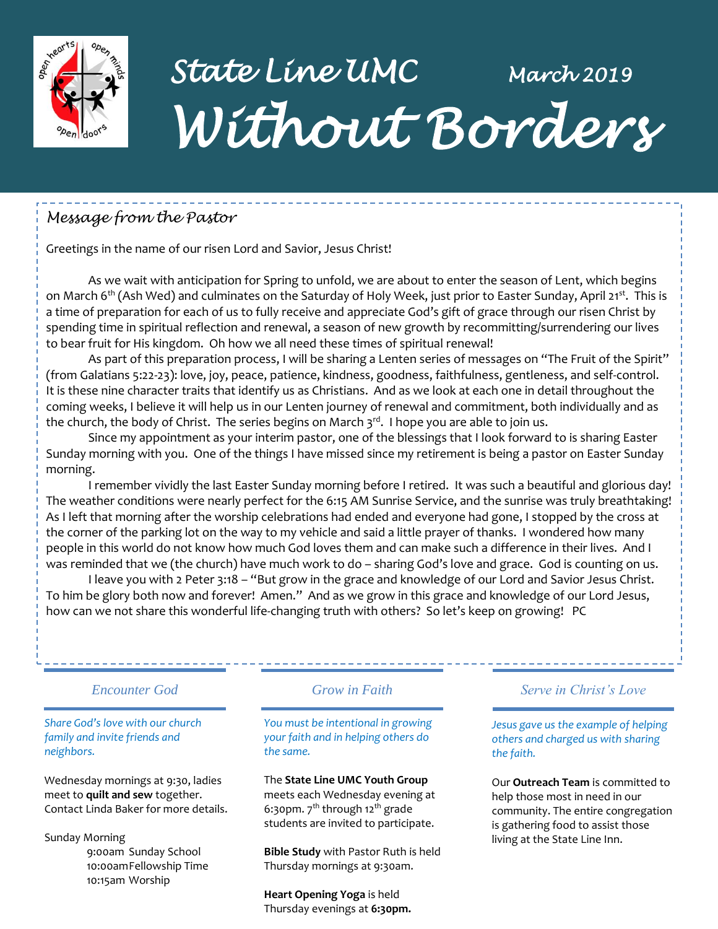

# *State Line UMC March 2019 Without Borders*

# *Message from the Pastor*

Greetings in the name of our risen Lord and Savior, Jesus Christ!

As we wait with anticipation for Spring to unfold, we are about to enter the season of Lent, which begins on March 6<sup>th</sup> (Ash Wed) and culminates on the Saturday of Holy Week, just prior to Easter Sunday, April 21<sup>st</sup>. This is a time of preparation for each of us to fully receive and appreciate God's gift of grace through our risen Christ by spending time in spiritual reflection and renewal, a season of new growth by recommitting/surrendering our lives to bear fruit for His kingdom. Oh how we all need these times of spiritual renewal!

As part of this preparation process, I will be sharing a Lenten series of messages on "The Fruit of the Spirit" (from Galatians 5:22-23): love, joy, peace, patience, kindness, goodness, faithfulness, gentleness, and self-control. It is these nine character traits that identify us as Christians. And as we look at each one in detail throughout the coming weeks, I believe it will help us in our Lenten journey of renewal and commitment, both individually and as the church, the body of Christ. The series begins on March  $3^{rd}$ . I hope you are able to join us.

Since my appointment as your interim pastor, one of the blessings that I look forward to is sharing Easter Sunday morning with you. One of the things I have missed since my retirement is being a pastor on Easter Sunday morning.

I remember vividly the last Easter Sunday morning before I retired. It was such a beautiful and glorious day! The weather conditions were nearly perfect for the 6:15 AM Sunrise Service, and the sunrise was truly breathtaking! As I left that morning after the worship celebrations had ended and everyone had gone, I stopped by the cross at the corner of the parking lot on the way to my vehicle and said a little prayer of thanks. I wondered how many people in this world do not know how much God loves them and can make such a difference in their lives. And I was reminded that we (the church) have much work to do – sharing God's love and grace. God is counting on us.

I leave you with 2 Peter 3:18 – "But grow in the grace and knowledge of our Lord and Savior Jesus Christ. To him be glory both now and forever! Amen." And as we grow in this grace and knowledge of our Lord Jesus, how can we not share this wonderful life-changing truth with others? So let's keep on growing! PC

#### *Encounter God Grow in Faith*

#### *Share God's love with our church family and invite friends and neighbors.*

Wednesday mornings at 9:30, ladies meet to **quilt and sew** together. Contact Linda Baker for more details.

Sunday Morning

9:00am Sunday School 10:00amFellowship Time 10:15am Worship

*You must be intentional in growing your faith and in helping others do the same.*

#### The **State Line UMC Youth Group**

meets each Wednesday evening at 6:30pm.  $7<sup>th</sup>$  through 12<sup>th</sup> grade students are invited to participate.

**Bible Study** with Pastor Ruth is held Thursday mornings at 9:30am.

**Heart Opening Yoga** is held Thursday evenings at **6:30pm.**

#### *Serve in Christ's Love*

---------------------

*Jesus gave us the example of helping others and charged us with sharing the faith.*

Our **Outreach Team** is committed to help those most in need in our community. The entire congregation is gathering food to assist those living at the State Line Inn.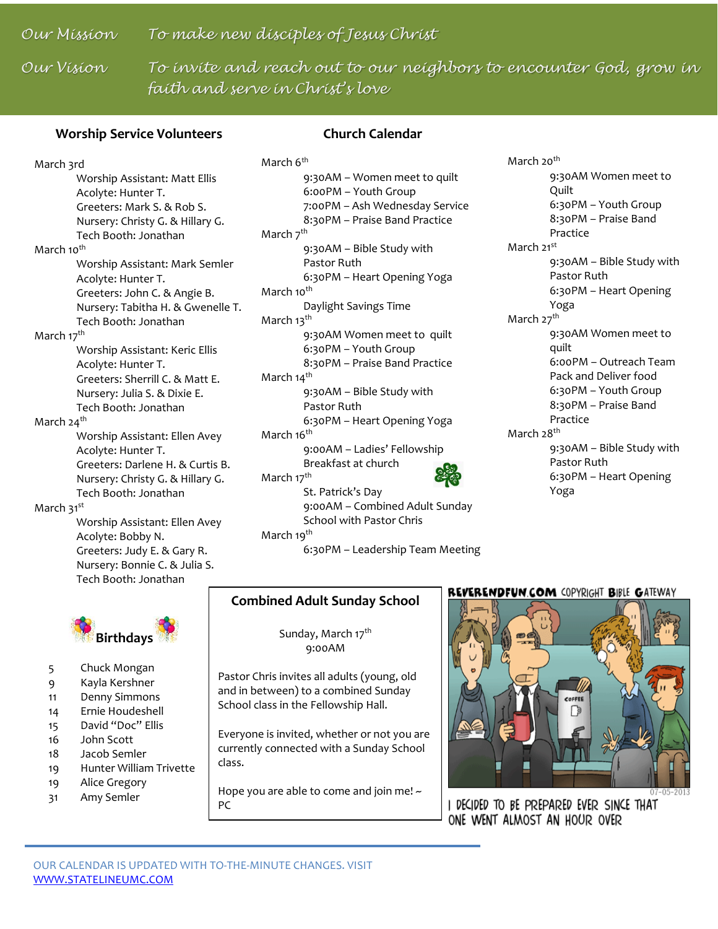### *Our Mission To make new disciples of Jesus Christ*

*Our Vision To invite and reach out to our neighbors to encounter God, grow in faith and serve in Christ's love*

#### **Worship Service Volunteers**

#### **Church Calendar**

March 3rd Worship Assistant: Matt Ellis Acolyte: Hunter T. Greeters: Mark S. & Rob S. Nursery: Christy G. & Hillary G. Tech Booth: Jonathan March 10<sup>th</sup> Worship Assistant: Mark Semler Acolyte: Hunter T. Greeters: John C. & Angie B. Nursery: Tabitha H. & Gwenelle T. Tech Booth: Jonathan March 17<sup>th</sup> Worship Assistant: Keric Ellis Acolyte: Hunter T. Greeters: Sherrill C. & Matt E. Nursery: Julia S. & Dixie E. Tech Booth: Jonathan March 24<sup>th</sup> Worship Assistant: Ellen Avey Acolyte: Hunter T.

Greeters: Darlene H. & Curtis B. Nursery: Christy G. & Hillary G. Tech Booth: Jonathan

#### March 31<sup>st</sup>

Worship Assistant: Ellen Avey Acolyte: Bobby N. Greeters: Judy E. & Gary R. Nursery: Bonnie C. & Julia S. Tech Booth: Jonathan



- 5 Chuck Mongan
- 9 Kayla Kershner
- 11 Denny Simmons
- 14 Ernie Houdeshell
- 15 David "Doc" Ellis
- 16 John Scott
- 18 Jacob Semler
- 19 Hunter William Trivette
- 19 Alice Gregory
- 31 Amy Semler

March 6<sup>th</sup> 9:30AM – Women meet to quilt 6:00PM – Youth Group 7:00PM – Ash Wednesday Service 8:30PM – Praise Band Practice March 7<sup>th</sup> 9:30AM – Bible Study with Pastor Ruth 6:30PM – Heart Opening Yoga March 10<sup>th</sup> Daylight Savings Time March 13<sup>th</sup> 9:30AM Women meet to quilt 6:30PM – Youth Group 8:30PM – Praise Band Practice March 14<sup>th</sup> 9:30AM – Bible Study with Pastor Ruth 6:30PM – Heart Opening Yoga March 16<sup>th</sup> 9:00AM – Ladies' Fellowship Breakfast at church March 17<sup>th</sup> St. Patrick's Day 9:00AM – Combined Adult Sunday School with Pastor Chris March 19<sup>th</sup>

6:30PM – Leadership Team Meeting

#### **Combined Adult Sunday School**

Sunday, March 17th 9:00AM

Pastor Chris invites all adults (young, old and in between) to a combined Sunday School class in the Fellowship Hall.

Everyone is invited, whether or not you are currently connected with a Sunday School class.

Hope you are able to come and join me!  $\sim$ PC

#### REVERENDFUN.COM COPYRIGHT BIBLE GATEWAY

March 20<sup>th</sup>

March 21st

March 27<sup>th</sup>

March 28<sup>th</sup>

Quilt

Practice

Yoga

quilt

Practice

Yoga

Pastor Ruth

Pastor Ruth

9:30AM Women meet to

6:30PM – Youth Group 8:30PM – Praise Band

9:30AM – Bible Study with

6:30PM – Heart Opening

9:30AM Women meet to

6:00PM – Outreach Team Pack and Deliver food 6:30PM – Youth Group 8:30PM – Praise Band

9:30AM – Bible Study with

6:30PM – Heart Opening



I DECIDED TO BE PREPARED EVER SINCE THAT ONE WENT ALMOST AN HOUR OVER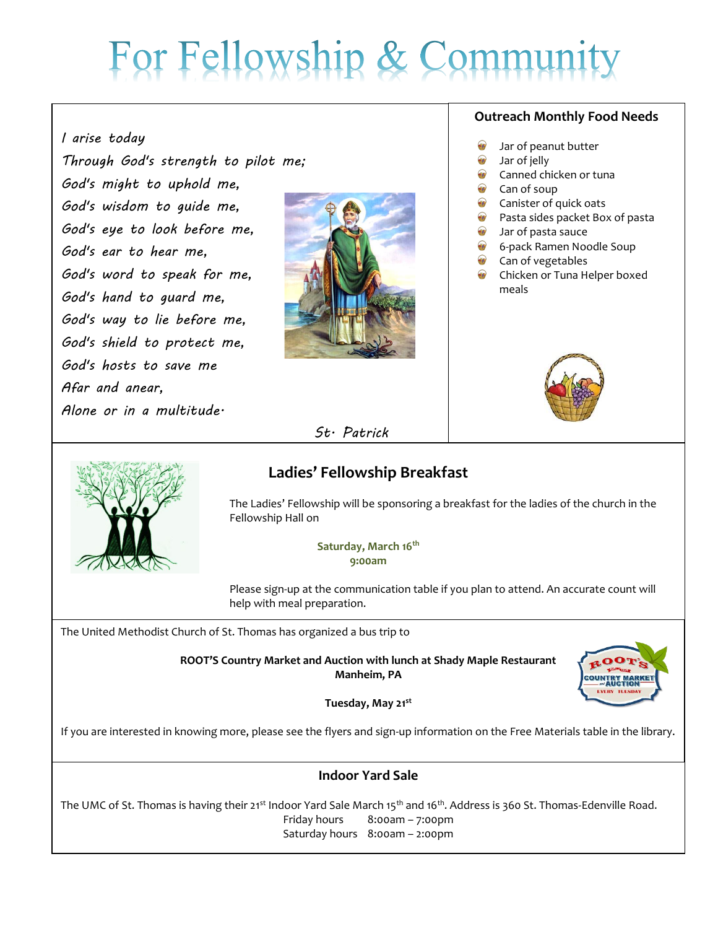# For Fellowship & Commun

### *I arise today*

*Through God's strength to pilot me; God's might to uphold me, God's wisdom to guide me, God's eye to look before me, God's ear to hear me, God's word to speak for me, God's hand to guard me, God's way to lie before me, God's shield to protect me, God's hosts to save me Afar and anear, Alone or in a multitude.*



#### **Outreach Monthly Food Needs**

- Jar of peanut butter
- Jar of jelly
- Canned chicken or tuna
- Can of soup
- Canister of quick oats
- Pasta sides packet Box of pasta
- Jar of pasta sauce
- 6-pack Ramen Noodle Soup
- Can of vegetables
- Chicken or Tuna Helper boxed meals





### *St. Patrick*

## **Ladies' Fellowship Breakfast**

The Ladies' Fellowship will be sponsoring a breakfast for the ladies of the church in the Fellowship Hall on

> **Saturday, March 16th 9:00am**

Please sign-up at the communication table if you plan to attend. An accurate count will help with meal preparation.

The United Methodist Church of St. Thomas has organized a bus trip to

**ROOT'S Country Market and Auction with lunch at Shady Maple Restaurant Manheim, PA**



**Tuesday, May 21st** 

If you are interested in knowing more, please see the flyers and sign-up information on the Free Materials table in the library.

#### **Indoor Yard Sale**

The UMC of St. Thomas is having their 21<sup>st</sup> Indoor Yard Sale March 15<sup>th</sup> and 16<sup>th</sup>. Address is 360 St. Thomas-Edenville Road. Friday hours 8:00am – 7:00pm Saturday hours 8:00am – 2:00pm